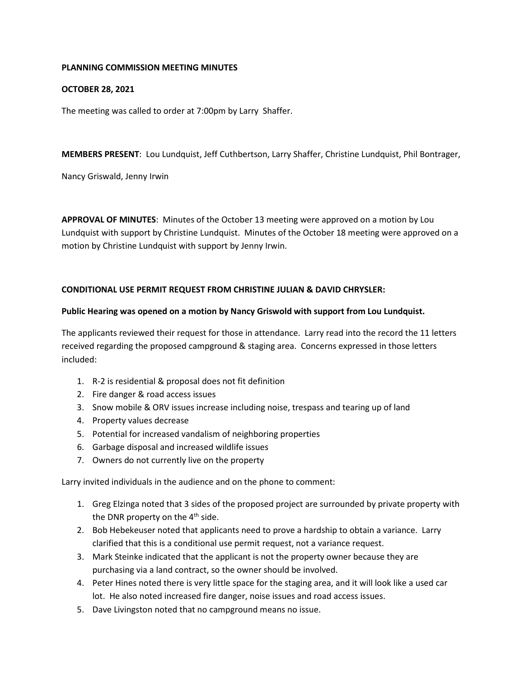### **PLANNING COMMISSION MEETING MINUTES**

## **OCTOBER 28, 2021**

The meeting was called to order at 7:00pm by Larry Shaffer.

**MEMBERS PRESENT**: Lou Lundquist, Jeff Cuthbertson, Larry Shaffer, Christine Lundquist, Phil Bontrager,

Nancy Griswald, Jenny Irwin

**APPROVAL OF MINUTES**: Minutes of the October 13 meeting were approved on a motion by Lou Lundquist with support by Christine Lundquist. Minutes of the October 18 meeting were approved on a motion by Christine Lundquist with support by Jenny Irwin.

## **CONDITIONAL USE PERMIT REQUEST FROM CHRISTINE JULIAN & DAVID CHRYSLER:**

### **Public Hearing was opened on a motion by Nancy Griswold with support from Lou Lundquist.**

The applicants reviewed their request for those in attendance. Larry read into the record the 11 letters received regarding the proposed campground & staging area. Concerns expressed in those letters included:

- 1. R-2 is residential & proposal does not fit definition
- 2. Fire danger & road access issues
- 3. Snow mobile & ORV issues increase including noise, trespass and tearing up of land
- 4. Property values decrease
- 5. Potential for increased vandalism of neighboring properties
- 6. Garbage disposal and increased wildlife issues
- 7. Owners do not currently live on the property

Larry invited individuals in the audience and on the phone to comment:

- 1. Greg Elzinga noted that 3 sides of the proposed project are surrounded by private property with the DNR property on the  $4<sup>th</sup>$  side.
- 2. Bob Hebekeuser noted that applicants need to prove a hardship to obtain a variance. Larry clarified that this is a conditional use permit request, not a variance request.
- 3. Mark Steinke indicated that the applicant is not the property owner because they are purchasing via a land contract, so the owner should be involved.
- 4. Peter Hines noted there is very little space for the staging area, and it will look like a used car lot. He also noted increased fire danger, noise issues and road access issues.
- 5. Dave Livingston noted that no campground means no issue.